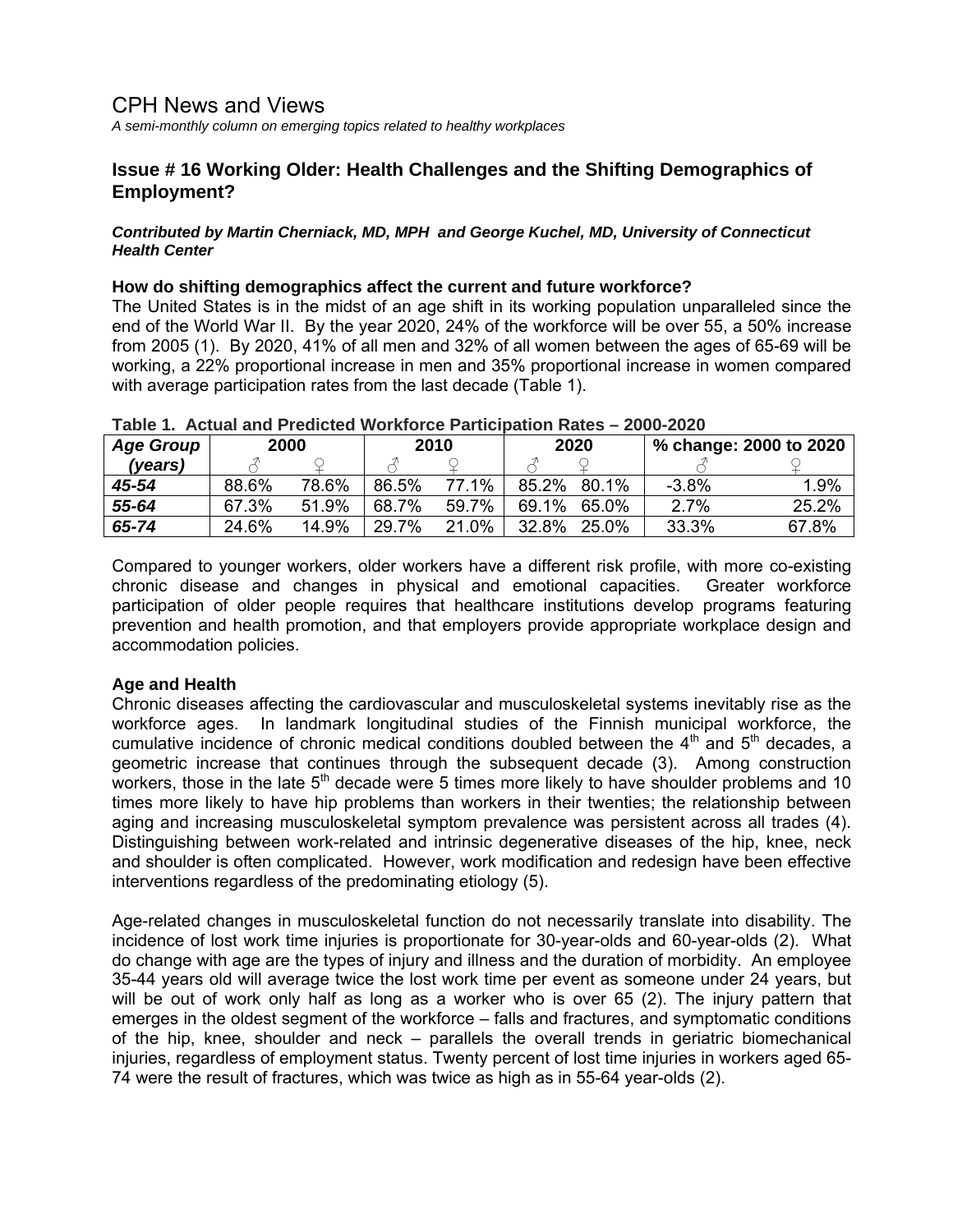# CPH News and Views

*A semi-monthly column on emerging topics related to healthy workplaces*

## **Issue # 16 Working Older: Health Challenges and the Shifting Demographics of Employment?**

#### *Contributed by Martin Cherniack, MD, MPH and George Kuchel, MD, University of Connecticut Health Center*

### **How do shifting demographics affect the current and future workforce?**

The United States is in the midst of an age shift in its working population unparalleled since the end of the World War II. By the year 2020, 24% of the workforce will be over 55, a 50% increase from 2005 (1). By 2020, 41% of all men and 32% of all women between the ages of 65-69 will be working, a 22% proportional increase in men and 35% proportional increase in women compared with average participation rates from the last decade (Table 1).

| <b>Age Group</b> | 2000  |       | 2010  |       | 2020  |          | % change: 2000 to 2020 |       |
|------------------|-------|-------|-------|-------|-------|----------|------------------------|-------|
| (vears)          |       |       |       |       |       |          |                        |       |
| 45-54            | 88.6% | 78.6% | 86.5% | 77.1% | 85.2% | 80.1%    | $-3.8%$                | 1.9%  |
| 55-64            | 67.3% | 51.9% | 68.7% | 59.7% | 69.1% | 65.0%    | 2.7%                   | 25.2% |
| 65-74            | 24.6% | 14.9% | 29.7% | 21.0% | 32.8% | $25.0\%$ | 33.3%                  | 67.8% |

#### **Table 1. Actual and Predicted Workforce Participation Rates – 2000-2020**

Compared to younger workers, older workers have a different risk profile, with more co-existing chronic disease and changes in physical and emotional capacities. Greater workforce participation of older people requires that healthcare institutions develop programs featuring prevention and health promotion, and that employers provide appropriate workplace design and accommodation policies.

## **Age and Health**

Chronic diseases affecting the cardiovascular and musculoskeletal systems inevitably rise as the workforce ages. In landmark longitudinal studies of the Finnish municipal workforce, the cumulative incidence of chronic medical conditions doubled between the  $4<sup>th</sup>$  and  $5<sup>th</sup>$  decades, a geometric increase that continues through the subsequent decade (3). Among construction workers, those in the late  $5<sup>th</sup>$  decade were 5 times more likely to have shoulder problems and 10 times more likely to have hip problems than workers in their twenties; the relationship between aging and increasing musculoskeletal symptom prevalence was persistent across all trades (4). Distinguishing between work-related and intrinsic degenerative diseases of the hip, knee, neck and shoulder is often complicated. However, work modification and redesign have been effective interventions regardless of the predominating etiology (5).

Age-related changes in musculoskeletal function do not necessarily translate into disability. The incidence of lost work time injuries is proportionate for 30-year-olds and 60-year-olds (2). What do change with age are the types of injury and illness and the duration of morbidity. An employee 35-44 years old will average twice the lost work time per event as someone under 24 years, but will be out of work only half as long as a worker who is over 65 (2). The injury pattern that emerges in the oldest segment of the workforce – falls and fractures, and symptomatic conditions of the hip, knee, shoulder and neck – parallels the overall trends in geriatric biomechanical injuries, regardless of employment status. Twenty percent of lost time injuries in workers aged 65- 74 were the result of fractures, which was twice as high as in 55-64 year-olds (2).